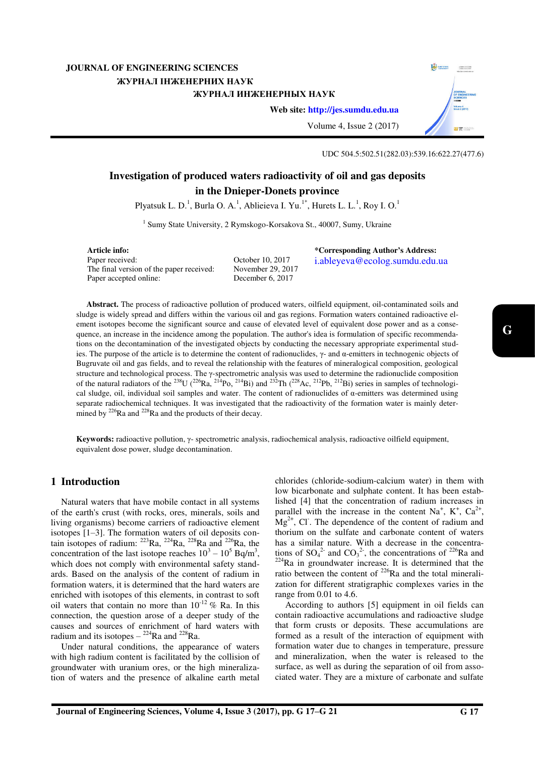# **JOURNAL OF ENGINEERING SCIENCES**  ЖУРНАЛ ІНЖЕНЕРНИХ НАУК ЖУРНАЛ ИНЖЕНЕРНЫХ НАУК



**Web site: [http://jes.sumdu.edu.ua](http://jes.sumdu.edu.ua/)**

Volume 4, Issue 2 (2017)

# UDC 504.5:502.51(282.03):539.16:622.27(477.6)

# **Investigation of produced waters radioactivity of oil and gas deposits in the Dnieper-Donets province**

Plyatsuk L. D.<sup>1</sup>, Burla O. A.<sup>1</sup>, Ablieieva I. Yu.<sup>1\*</sup>, Hurets L. L.<sup>1</sup>, Roy I. O.<sup>1</sup>

<sup>1</sup> Sumy State University, 2 Rymskogo-Korsakova St., 40007, Sumy, Ukraine

**Article info:**  Paper received: The final version of the paper received: Paper accepted online:

October 10, 2017 November 29, 2017 December 6, 2017

**\*Corresponding Author's Address:**  i.ableyeva@ecolog.sumdu.edu.ua

**Abstract.** The process of radioactive pollution of produced waters, oilfield equipment, oil-contaminated soils and sludge is widely spread and differs within the various oil and gas regions. Formation waters contained radioactive element isotopes become the significant source and cause of elevated level of equivalent dose power and as a consequence, an increase in the incidence among the population. The author's idea is formulation of specific recommendations on the decontamination of the investigated objects by conducting the necessary appropriate experimental studies. The purpose of the article is to determine the content of radionuclides,  $\gamma$ - and  $\alpha$ -emitters in technogenic objects of Bugruvate oil and gas fields, and to reveal the relationship with the features of mineralogical composition, geological structure and technological process. The γ-spectrometric analysis was used to determine the radionuclide composition of the natural radiators of the <sup>238</sup>U (<sup>226</sup>Ra, <sup>214</sup>Po, <sup>214</sup>Bi) and <sup>232</sup>Th (<sup>228</sup>Ac, <sup>212</sup>Pb, <sup>212</sup>Bi) series in samples of technological sludge, oil, individual soil samples and water. The content of radionuclides of  $\alpha$ -emitters was determined using separate radiochemical techniques. It was investigated that the radioactivity of the formation water is mainly determined by  $^{226}$ Ra and  $^{228}$ Ra and the products of their decay.

**Keywords:** radioactive pollution, γ- spectrometric analysis, radiochemical analysis, radioactive oilfield equipment, equivalent dose power, sludge decontamination.

# **1 Introduction**

Natural waters that have mobile contact in all systems of the earth's crust (with rocks, ores, minerals, soils and living organisms) become carriers of radioactive element isotopes [1–3]. The formation waters of oil deposits contain isotopes of radium:  $22^{23}$ Ra,  $22^{4}$ Ra,  $22^{8}$ Ra and  $22^{6}$ Ra, the concentration of the last isotope reaches  $10^3 - 10^5$  Bq/m<sup>3</sup>, which does not comply with environmental safety standards. Based on the analysis of the content of radium in formation waters, it is determined that the hard waters are enriched with isotopes of this elements, in contrast to soft oil waters that contain no more than  $10^{-12}$  % Ra. In this connection, the question arose of a deeper study of the causes and sources of enrichment of hard waters with radium and its isotopes  $-$  <sup>224</sup>Ra and <sup>228</sup>Ra.

Under natural conditions, the appearance of waters with high radium content is facilitated by the collision of groundwater with uranium ores, or the high mineralization of waters and the presence of alkaline earth metal chlorides (chloride-sodium-calcium water) in them with low bicarbonate and sulphate content. It has been established [4] that the concentration of radium increases in parallel with the increase in the content Na<sup>+</sup>, K<sup>+</sup>, Ca<sup>2+</sup>,  $Mg^{2+}$ , Cl. The dependence of the content of radium and thorium on the sulfate and carbonate content of waters has a similar nature. With a decrease in the concentrations of  $SO_4^2$  and  $CO_3^2$ , the concentrations of <sup>226</sup>Ra and  $224$ Ra in groundwater increase. It is determined that the ratio between the content of  $^{226}$ Ra and the total mineralization for different stratigraphic complexes varies in the range from 0.01 to 4.6.

According to authors [5] equipment in oil fields can contain radioactive accumulations and radioactive sludge that form crusts or deposits. These accumulations are formed as a result of the interaction of equipment with formation water due to changes in temperature, pressure and mineralization, when the water is released to the surface, as well as during the separation of oil from associated water. They are a mixture of carbonate and sulfate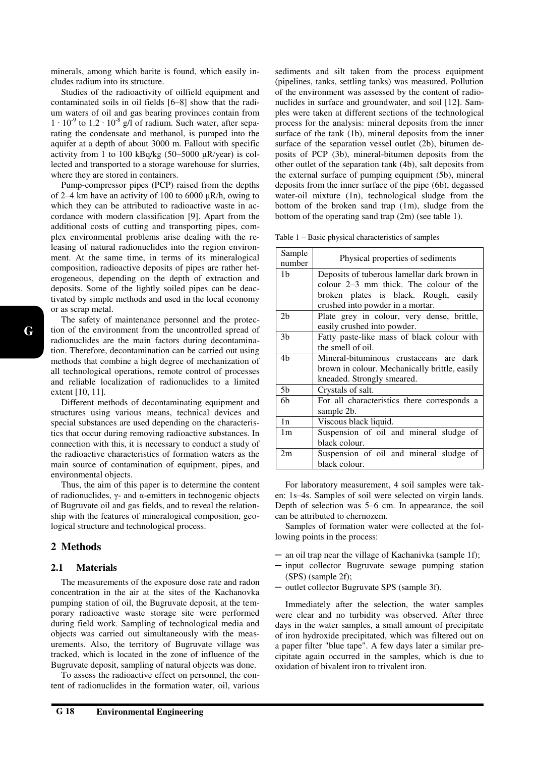minerals, among which barite is found, which easily includes radium into its structure.

Studies of the radioactivity of oilfield equipment and contaminated soils in oil fields [6–8] show that the radium waters of oil and gas bearing provinces contain from  $1 \cdot 10^{-9}$  to  $1.2 \cdot 10^{-8}$  g/l of radium. Such water, after separating the condensate and methanol, is pumped into the aquifer at a depth of about 3000 m. Fallout with specific activity from 1 to 100 kBq/kg (50–5000 μR/year) is collected and transported to a storage warehouse for slurries, where they are stored in containers.

Pump-compressor pipes (PCP) raised from the depths of 2–4 km have an activity of 100 to 6000  $\mu$ R/h, owing to which they can be attributed to radioactive waste in accordance with modern classification [9]. Apart from the additional costs of cutting and transporting pipes, complex environmental problems arise dealing with the releasing of natural radionuclides into the region environment. At the same time, in terms of its mineralogical composition, radioactive deposits of pipes are rather heterogeneous, depending on the depth of extraction and deposits. Some of the lightly soiled pipes can be deactivated by simple methods and used in the local economy or as scrap metal.

The safety of maintenance personnel and the protection of the environment from the uncontrolled spread of radionuclides are the main factors during decontamination. Therefore, decontamination can be carried out using methods that combine a high degree of mechanization of all technological operations, remote control of processes and reliable localization of radionuclides to a limited extent [10, 11].

Different methods of decontaminating equipment and structures using various means, technical devices and special substances are used depending on the characteristics that occur during removing radioactive substances. In connection with this, it is necessary to conduct a study of the radioactive characteristics of formation waters as the main source of contamination of equipment, pipes, and environmental objects.

Thus, the aim of this paper is to determine the content of radionuclides, γ- and α-emitters in technogenic objects of Bugruvate oil and gas fields, and to reveal the relationship with the features of mineralogical composition, geological structure and technological process.

# **2 Methods**

### **2.1 Materials**

The measurements of the exposure dose rate and radon concentration in the air at the sites of the Kachanovka pumping station of oil, the Bugruvate deposit, at the temporary radioactive waste storage site were performed during field work. Sampling of technological media and objects was carried out simultaneously with the measurements. Also, the territory of Bugruvate village was tracked, which is located in the zone of influence of the Bugruvate deposit, sampling of natural objects was done.

To assess the radioactive effect on personnel, the content of radionuclides in the formation water, oil, various sediments and silt taken from the process equipment (pipelines, tanks, settling tanks) was measured. Pollution of the environment was assessed by the content of radionuclides in surface and groundwater, and soil [12]. Samples were taken at different sections of the technological process for the analysis: mineral deposits from the inner surface of the tank (1b), mineral deposits from the inner surface of the separation vessel outlet (2b), bitumen deposits of PCP (3b), mineral-bitumen deposits from the other outlet of the separation tank (4b), salt deposits from the external surface of pumping equipment (5b), mineral deposits from the inner surface of the pipe (6b), degassed water-oil mixture (1n), technological sludge from the bottom of the broken sand trap (1m), sludge from the bottom of the operating sand trap (2m) (see table 1).

Table 1 – Basic physical characteristics of samples

| Sample<br>number | Physical properties of sediments                                                                                                                                   |  |  |  |  |  |
|------------------|--------------------------------------------------------------------------------------------------------------------------------------------------------------------|--|--|--|--|--|
| 1b               | Deposits of tuberous lamellar dark brown in<br>colour 2–3 mm thick. The colour of the<br>broken plates is black. Rough, easily<br>crushed into powder in a mortar. |  |  |  |  |  |
| 2 <sub>b</sub>   | Plate grey in colour, very dense, brittle,<br>easily crushed into powder.                                                                                          |  |  |  |  |  |
| 3 <sub>b</sub>   | Fatty paste-like mass of black colour with<br>the smell of oil.                                                                                                    |  |  |  |  |  |
| 4b               | Mineral-bituminous crustaceans are dark<br>brown in colour. Mechanically brittle, easily<br>kneaded. Strongly smeared.                                             |  |  |  |  |  |
| 5b               | Crystals of salt.                                                                                                                                                  |  |  |  |  |  |
| 6b               | For all characteristics there corresponds a<br>sample 2b.                                                                                                          |  |  |  |  |  |
| 1n               | Viscous black liquid.                                                                                                                                              |  |  |  |  |  |
| 1 <sub>m</sub>   | Suspension of oil and mineral sludge of<br>black colour.                                                                                                           |  |  |  |  |  |
| 2m               | Suspension of oil and mineral sludge of<br>black colour.                                                                                                           |  |  |  |  |  |

For laboratory measurement, 4 soil samples were taken: 1s–4s. Samples of soil were selected on virgin lands. Depth of selection was 5–6 cm. In appearance, the soil can be attributed to chernozem.

Samples of formation water were collected at the following points in the process:

- ─ an oil trap near the village of Kachanivka (sample 1f);
- ─ input collector Bugruvate sewage pumping station (SPS) (sample 2f);
- ─ outlet collector Bugruvate SPS (sample 3f).

Immediately after the selection, the water samples were clear and no turbidity was observed. After three days in the water samples, a small amount of precipitate of iron hydroxide precipitated, which was filtered out on a paper filter "blue tape". A few days later a similar precipitate again occurred in the samples, which is due to oxidation of bivalent iron to trivalent iron.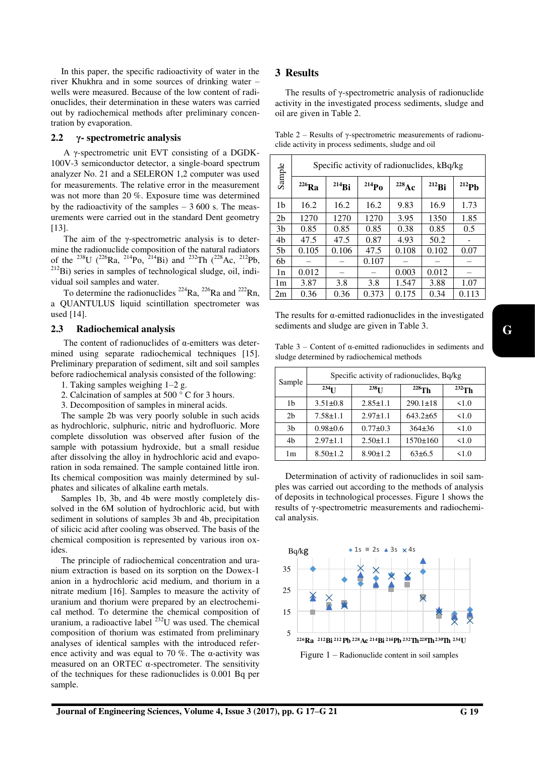In this paper, the specific radioactivity of water in the river Khukhra and in some sources of drinking water – wells were measured. Because of the low content of radionuclides, their determination in these waters was carried out by radiochemical methods after preliminary concentration by evaporation.

# **2.2 γ- spectrometric analysis**

A γ-spectrometric unit EVT consisting of a DGDK-100V-3 semiconductor detector, a single-board spectrum analyzer No. 21 and a SELERON 1,2 computer was used for measurements. The relative error in the measurement was not more than 20 %. Exposure time was determined by the radioactivity of the samples  $-3600$  s. The measurements were carried out in the standard Dent geometry [13].

The aim of the  $\gamma$ -spectrometric analysis is to determine the radionuclide composition of the natural radiators of the <sup>238</sup>U (<sup>226</sup>Ra, <sup>214</sup>Po, <sup>214</sup>Bi) and <sup>232</sup>Th (<sup>228</sup>Ac, <sup>212</sup>Pb,  $^{212}$ Bi) series in samples of technological sludge, oil, individual soil samples and water.

To determine the radionuclides  $^{224}Ra$ ,  $^{226}Ra$  and  $^{222}Rn$ , a QUANTULUS liquid scintillation spectrometer was used [14].

### **2.3 Radiochemical analysis**

The content of radionuclides of α-emitters was determined using separate radiochemical techniques [15]. Preliminary preparation of sediment, silt and soil samples before radiochemical analysis consisted of the following:

- 1. Taking samples weighing 1–2 g.
- 2. Calcination of samples at 500 ° C for 3 hours.
- 3. Decomposition of samples in mineral acids.

The sample 2b was very poorly soluble in such acids as hydrochloric, sulphuric, nitric and hydrofluoric. More complete dissolution was observed after fusion of the sample with potassium hydroxide, but a small residue after dissolving the alloy in hydrochloric acid and evaporation in soda remained. The sample contained little iron. Its chemical composition was mainly determined by sulphates and silicates of alkaline earth metals.

Samples 1b, 3b, and 4b were mostly completely dissolved in the 6M solution of hydrochloric acid, but with sediment in solutions of samples 3b and 4b, precipitation of silicic acid after cooling was observed. The basis of the chemical composition is represented by various iron oxides.

The principle of radiochemical concentration and uranium extraction is based on its sorption on the Dowex-1 anion in a hydrochloric acid medium, and thorium in a nitrate medium [16]. Samples to measure the activity of uranium and thorium were prepared by an electrochemical method. To determine the chemical composition of uranium, a radioactive label  $^{232}$ U was used. The chemical composition of thorium was estimated from preliminary analyses of identical samples with the introduced reference activity and was equal to 70 %. The  $\alpha$ -activity was measured on an ORTEC  $\alpha$ -spectrometer. The sensitivity of the techniques for these radionuclides is 0.001 Bq per sample.

# **3 Results**

The results of γ-spectrometric analysis of radionuclide activity in the investigated process sediments, sludge and oil are given in Table 2.

Table  $2$  – Results of  $\gamma$ -spectrometric measurements of radionuclide activity in process sediments, sludge and oil

|                | Specific activity of radionuclides, kBq/kg |            |                     |                   |            |                     |  |
|----------------|--------------------------------------------|------------|---------------------|-------------------|------------|---------------------|--|
| Sample         | $^{226}\rm{Ra}$                            | $^{214}Bi$ | $^{214}\mathrm{Po}$ | $^{228}\text{Ac}$ | $^{212}Bi$ | $^{212}\mathrm{Pb}$ |  |
| 1b             | 16.2                                       | 16.2       | 16.2                | 9.83              | 16.9       | 1.73                |  |
| 2 <sub>b</sub> | 1270                                       | 1270       | 1270                | 3.95              | 1350       | 1.85                |  |
| 3 <sub>b</sub> | 0.85                                       | 0.85       | 0.85                | 0.38              | 0.85       | 0.5                 |  |
| 4b             | 47.5                                       | 47.5       | 0.87                | 4.93              | 50.2       |                     |  |
| 5b             | 0.105                                      | 0.106      | 47.5                | 0.108             | 0.102      | 0.07                |  |
| 6b             |                                            |            | 0.107               |                   |            |                     |  |
| 1n             | 0.012                                      |            |                     | 0.003             | 0.012      |                     |  |
| 1 <sub>m</sub> | 3.87                                       | 3.8        | 3.8                 | 1.547             | 3.88       | 1.07                |  |
| 2m             | 0.36                                       | 0.36       | 0.373               | 0.175             | 0.34       | 0.113               |  |

The results for  $\alpha$ -emitted radionuclides in the investigated sediments and sludge are given in Table 3.

Table  $3$  – Content of  $\alpha$ -emitted radionuclides in sediments and sludge determined by radiochemical methods

| Sample         | Specific activity of radionuclides, Bq/kg |                    |                |             |  |  |  |
|----------------|-------------------------------------------|--------------------|----------------|-------------|--|--|--|
|                | $234$ <sub>II</sub>                       | $238$ <sup>T</sup> | $228$ Th       | $^{232}$ Th |  |  |  |
| 1b             | $3.51 \pm 0.8$                            | $2.85 \pm 1.1$     | $290.1 \pm 18$ | 1.0         |  |  |  |
| 2 <sub>b</sub> | $7.58 \pm 1.1$                            | $2.97 \pm 1.1$     | $643.2\pm 65$  | 51.0        |  |  |  |
| 3 <sub>b</sub> | $0.98 + 0.6$                              | $0.77 + 0.3$       | $364\pm36$     | 1.0         |  |  |  |
| 4 <sub>b</sub> | $2.97 \pm 1.1$                            | $2.50 \pm 1.1$     | $1570 \pm 160$ | 1.0         |  |  |  |
| 1m             | $8.50 \pm 1.2$                            | $8.90 \pm 1.2$     | $63\pm6.5$     | 1.0         |  |  |  |

Determination of activity of radionuclides in soil samples was carried out according to the methods of analysis of deposits in technological processes. Figure 1 shows the results of γ-spectrometric measurements and radiochemical analysis.

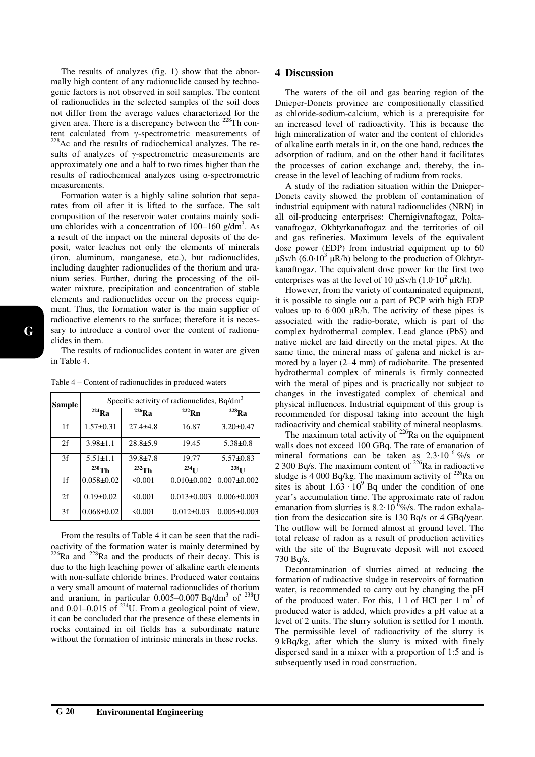The results of analyzes (fig. 1) show that the abnormally high content of any radionuclide caused by technogenic factors is not observed in soil samples. The content of radionuclides in the selected samples of the soil does not differ from the average values characterized for the given area. There is a discrepancy between the  $228$ Th content calculated from γ-spectrometric measurements of <sup>228</sup>Ac and the results of radiochemical analyzes. The results of analyzes of γ-spectrometric measurements are approximately one and a half to two times higher than the results of radiochemical analyzes using α-spectrometric measurements.

Formation water is a highly saline solution that separates from oil after it is lifted to the surface. The salt composition of the reservoir water contains mainly sodium chlorides with a concentration of  $100-160$  g/dm<sup>3</sup>. As a result of the impact on the mineral deposits of the deposit, water leaches not only the elements of minerals (iron, aluminum, manganese, etc.), but radionuclides, including daughter radionuclides of the thorium and uranium series. Further, during the processing of the oilwater mixture, precipitation and concentration of stable elements and radionuclides occur on the process equipment. Thus, the formation water is the main supplier of radioactive elements to the surface; therefore it is necessary to introduce a control over the content of radionuclides in them.

The results of radionuclides content in water are given in Table 4.

|  |  |  |  |  |  | Table 4 – Content of radionuclides in produced waters |  |
|--|--|--|--|--|--|-------------------------------------------------------|--|
|--|--|--|--|--|--|-------------------------------------------------------|--|

| <b>Sample</b>  | Specific activity of radionuclides, Bq/dm <sup>3</sup> |                |                     |                   |  |  |  |
|----------------|--------------------------------------------------------|----------------|---------------------|-------------------|--|--|--|
|                | $224$ Ra                                               | $^{226}Ra$     | $222$ <sub>Rn</sub> | $^{228}$ Ra       |  |  |  |
| 1 <sup>f</sup> | $1.57 \pm 0.31$                                        | $27.4 + 4.8$   | 16.87               | $3.20 \pm 0.47$   |  |  |  |
| 2f             | $3.98 \pm 1.1$                                         | $28.8 + 5.9$   | 19.45               | $5.38 \pm 0.8$    |  |  |  |
| 3f             | $5.51 \pm 1.1$                                         | $39.8 \pm 7.8$ | 19.77               | $5.57 \pm 0.83$   |  |  |  |
|                | $230$ Th                                               | $232$ Th       | 234 <sub>T1</sub>   | 238 <sub>T1</sub> |  |  |  |
| 1f             | $0.058 \pm 0.02$                                       | 50.001         | $0.010\pm0.002$     | $0.007 \pm 0.002$ |  |  |  |
| 2f             | $0.19 \pm 0.02$                                        | 50.001         | $0.013 \pm 0.003$   | $0.006 \pm 0.003$ |  |  |  |
| 3f             | $0.068 \pm 0.02$                                       | $\leq 0.001$   | $0.012 \pm 0.03$    | $0.005 \pm 0.003$ |  |  |  |

From the results of Table 4 it can be seen that the radioactivity of the formation water is mainly determined by  $226$ Ra and  $228$ Ra and the products of their decay. This is due to the high leaching power of alkaline earth elements with non-sulfate chloride brines. Produced water contains a very small amount of maternal radionuclides of thorium and uranium, in particular  $0.005 - 0.007$  Bq/dm<sup>3</sup> of  $^{238}$ U and  $0.01-0.015$  of  $^{234}$ U. From a geological point of view, it can be concluded that the presence of these elements in rocks contained in oil fields has a subordinate nature without the formation of intrinsic minerals in these rocks.

### **4 Discussion**

The waters of the oil and gas bearing region of the Dnieper-Donets province are compositionally classified as chloride-sodium-calcium, which is a prerequisite for an increased level of radioactivity. This is because the high mineralization of water and the content of chlorides of alkaline earth metals in it, on the one hand, reduces the adsorption of radium, and on the other hand it facilitates the processes of cation exchange and, thereby, the increase in the level of leaching of radium from rocks.

A study of the radiation situation within the Dnieper-Donets cavity showed the problem of contamination of industrial equipment with natural radionuclides (NRN) in all oil-producing enterprises: Chernigivnaftogaz, Poltavanaftogaz, Okhtyrkanaftogaz and the territories of oil and gas refineries. Maximum levels of the equivalent dose power (EDP) from industrial equipment up to 60 μSv/h  $(6.0.10<sup>3</sup>$  μR/h) belong to the production of Okhtyrkanaftogaz. The equivalent dose power for the first two enterprises was at the level of 10  $\mu$ Sv/h (1.0⋅10<sup>2</sup>  $\mu$ R/h).

However, from the variety of contaminated equipment, it is possible to single out a part of PCP with high EDP values up to  $6000 \mu R/h$ . The activity of these pipes is associated with the radio-borate, which is part of the complex hydrothermal complex. Lead glance (PbS) and native nickel are laid directly on the metal pipes. At the same time, the mineral mass of galena and nickel is armored by a layer (2–4 mm) of radiobarite. The presented hydrothermal complex of minerals is firmly connected with the metal of pipes and is practically not subject to changes in the investigated complex of chemical and physical influences. Industrial equipment of this group is recommended for disposal taking into account the high radioactivity and chemical stability of mineral neoplasms.

The maximum total activity of  $226$ Ra on the equipment walls does not exceed 100 GBq. The rate of emanation of mineral formations can be taken as 2.3∙10–<sup>6</sup> %/s or 2 300 Bq/s. The maximum content of  $^{226}$ Ra in radioactive sludge is 4 000 Bq/kg. The maximum activity of  $^{226}$ Ra on sites is about  $1.63 \cdot 10^9$  Bq under the condition of one year's accumulation time. The approximate rate of radon emanation from slurries is 8.2⋅10<sup>-6</sup>%/s. The radon exhalation from the desiccation site is 130 Bq/s or 4 GBq/year. The outflow will be formed almost at ground level. The total release of radon as a result of production activities with the site of the Bugruvate deposit will not exceed 730 Bq/s.

Decontamination of slurries aimed at reducing the formation of radioactive sludge in reservoirs of formation water, is recommended to carry out by changing the pH of the produced water. For this,  $1 \cdot 1$  of HCl per  $1 \text{ m}^3$  of produced water is added, which provides a pH value at a level of 2 units. The slurry solution is settled for 1 month. The permissible level of radioactivity of the slurry is 9 kBq/kg, after which the slurry is mixed with finely dispersed sand in a mixer with a proportion of 1:5 and is subsequently used in road construction.